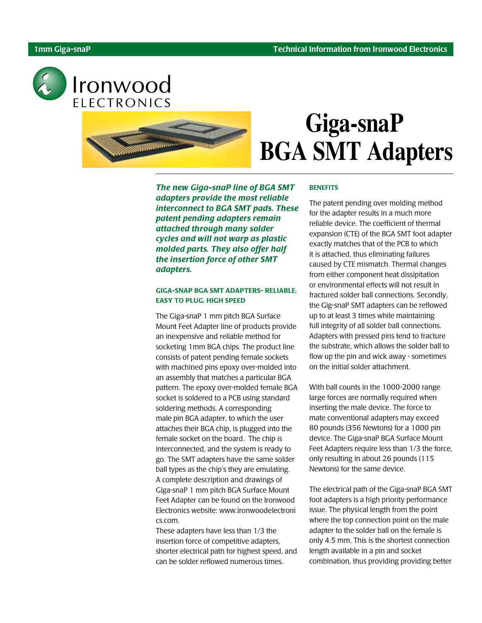

Ironwood ELECTRONICS



# **Giga-snaP BGA SMT Adapters**

The new Giga-snaP line of BGA SMT adapters provide the most reliable interconnect to BGA SMT pads. These patent pending adapters remain attached through many solder cycles and will not warp as plastic molded parts. They also offer half the insertion force of other SMT adapters.

## GIGA-SNAP BGA SMT ADAPTERS- RELIABLE, EASY TO PLUG, HIGH SPEED

The Giga-snaP 1 mm pitch BGA Surface Mount Feet Adapter line of products provide an inexpensive and reliable method for socketing 1mm BGA chips. The product line consists of patent pending female sockets with machined pins epoxy over-molded into an assembly that matches a particular BGA pattern. The epoxy over-molded female BGA socket is soldered to a PCB using standard soldering methods. A corresponding male pin BGA adapter, to which the user attaches their BGA chip, is plugged into the female socket on the board. The chip is interconnected, and the system is ready to go. The SMT adapters have the same solder ball types as the chip's they are emulating. A complete description and drawings of Giga-snaP 1 mm pitch BGA Surface Mount Feet Adapter can be found on the Ironwood Electronics website: www.ironwoodelectroni cs.com.

These adapters have less than 1/3 the insertion force of competitive adapters, shorter electrical path for highest speed, and can be solder reflowed numerous times.

#### **BENEFITS**

The patent pending over molding method for the adapter results in a much more reliable device. The coefficient of thermal expansion (CTE) of the BGA SMT foot adapter exactly matches that of the PCB to which it is attached, thus eliminating failures caused by CTE mismatch. Thermal changes from either component heat dissipitation or environmental effects will not result in fractured solder ball connections. Secondly, the Gig-snaP SMT adapters can be reflowed up to at least 3 times while maintaining full integrity of all solder ball connections. Adapters with pressed pins tend to fracture the substrate, which allows the solder ball to flow up the pin and wick away - sometimes on the initial solder attachment.

With ball counts in the 1000-2000 range large forces are normally required when inserting the male device. The force to mate conventional adapters may exceed 80 pounds (356 Newtons) for a 1000 pin device. The Giga-snaP BGA Surface Mount Feet Adapters require less than 1/3 the force, only resulting in about 26 pounds (115 Newtons) for the same device.

The electrical path of the Giga-snaP BGA SMT foot adapters is a high priority performance issue. The physical length from the point where the top connection point on the male adapter to the solder ball on the female is only 4.5 mm. This is the shortest connection length available in a pin and socket combination, thus providing providing better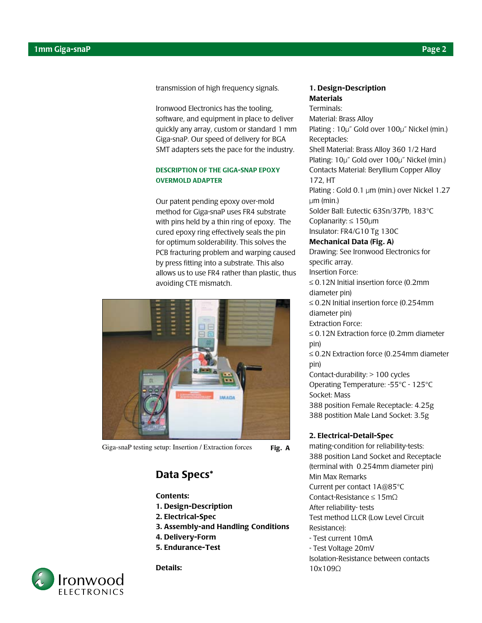transmission of high frequency signals.

Ironwood Electronics has the tooling, software, and equipment in place to deliver quickly any array, custom or standard 1 mm Giga-snaP. Our speed of delivery for BGA SMT adapters sets the pace for the industry.

#### DESCRIPTION OF THE GIGA-SNAP EPOXY OVERMOLD ADAPTER

Our patent pending epoxy over-mold method for Giga-snaP uses FR4 substrate with pins held by a thin ring of epoxy. The cured epoxy ring effectively seals the pin for optimum solderability. This solves the PCB fracturing problem and warping caused by press fitting into a substrate. This also allows us to use FR4 rather than plastic, thus avoiding CTE mismatch.



Giga-snaP testing setup: Insertion / Extraction forces Fig. A

# Data Specs\*

#### Contents:

- 1. Design-Description
- 2. Electrical-Spec
- 3. Assembly-and Handling Conditions
- 4. Delivery-Form
- 5. Endurance-Test



Details:

## 1. Design-Description **Materials**

Terminals: Material: Brass Alloy Plating : 10µ" Gold over 100µ" Nickel (min.) Receptacles: Shell Material: Brass Alloy 360 1/2 Hard Plating: 10µ" Gold over 100µ" Nickel (min.) Contacts Material: Beryllium Copper Alloy 172, HT Plating : Gold 0.1 µm (min.) over Nickel 1.27  $µm$  (min.) Solder Ball: Eutectic 63Sn/37Pb, 183°C Coplanarity: ≤ 150µm Insulator: FR4/G10 Tg 130C Mechanical Data (Fig. A) Drawing: See Ironwood Electronics for specific array. Insertion Force: ≤ 0.12N Initial insertion force (0.2mm diameter pin) ≤ 0.2N Initial insertion force (0.254mm diameter pin) Extraction Force: ≤ 0.12N Extraction force (0.2mm diameter pin) ≤ 0.2N Extraction force (0.254mm diameter pin) Contact-durability: > 100 cycles Operating Temperature: -55°C - 125°C Socket: Mass 388 position Female Receptacle: 4.25g 388 postition Male Land Socket: 3.5g 2. Electrical-Detail-Spec mating-condition for reliability-tests:

388 position Land Socket and Receptacle (terminal with ∅ 0.254mm diameter pin) Min Max Remarks Current per contact 1A@85°C Contact-Resistance ≤ 15mΩ After reliability- tests Test method LLCR (Low Level Circuit Resistance): - Test current 10mA

- Test Voltage 20mV

Isolation-Resistance between contacts 10x109Ω